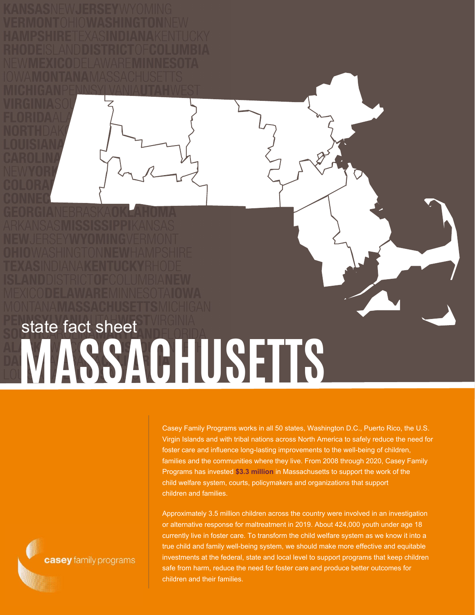

## **MASSACHUSETTS** state fact sheet

Casey Family Programs works in all 50 states, Washington D.C., Puerto Rico, the U.S. Virgin Islands and with tribal nations across North America to safely reduce the need for foster care and influence long-lasting improvements to the well-being of children, families and the communities where they live. From 2008 through 2020, Casey Family Programs has invested **\$3.3 million** in Massachusetts to support the work of the child welfare system, courts, policymakers and organizations that support children and families.

Approximately 3.5 million children across the country were involved in an investigation or alternative response for maltreatment in 2019. About 424,000 youth under age 18 currently live in foster care. To transform the child welfare system as we know it into a true child and family well-being system, we should make more effective and equitable investments at the federal, state and local level to support programs that keep children safe from harm, reduce the need for foster care and produce better outcomes for children and their families.

casey family programs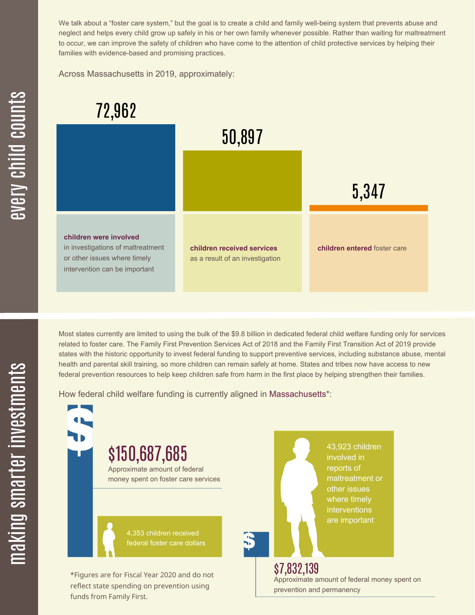We talk about a "foster care system," but the goal is to create a child and family well-being system that prevents abuse and neglect and helps every child grow up safely in his or her own family whenever possible. Rather than waiting for maltreatment to occur, we can improve the safety of children who have come to the attention of child protective services by helping their families with evidence-based and promising practices.

Across Massachusetts in 2019, approximately:



Most states currently are limited to using the bulk of the \$9.8 billion in dedicated federal child welfare funding only for services related to foster care. The Family First Prevention Services Act of 2018 and the Family First Transition Act of 2019 provide states with the historic opportunity to invest federal funding to support preventive services, including substance abuse, mental health and parental skill training, so more children can remain safely at home. States and tribes now have access to new federal prevention resources to help keep children safe from harm in the first place by helping strengthen their families.

How federal child welfare funding is currently aligned in Massachusetts\*:

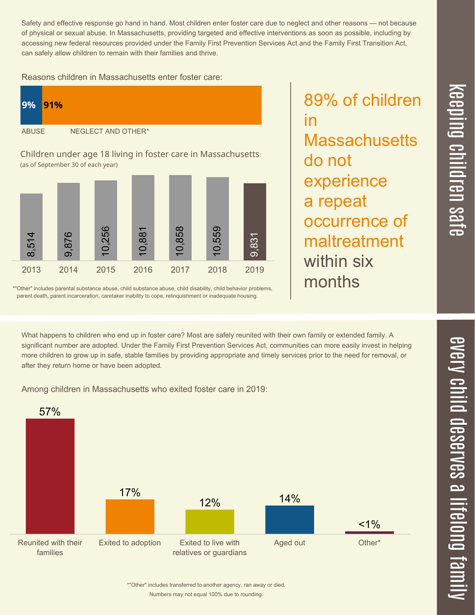Numbers may not equal 100% due to rounding.

\*"Other" includes transferred to another agency, ran away or died.

Safety and effective response go hand in hand. Most children enter foster care due to neglect and other reasons — not because of physical or sexual abuse. In Massachusetts, providing targeted and effective interventions as soon as possible, including by accessing new federal resources provided under the Family First Prevention Services Act and the Family First Transition Act, can safely allow children to remain with their families and thrive.

Reasons children in Massachusetts enter foster care:



\*"Other" includes parental substance abuse, child substance abuse, child disability, child behavior problems, parent death, parent incarceration, caretaker inability to cope, relinquishment or inadequate housing.

What happens to children who end up in foster care? Most are safely reunited with their own family or extended family. A significant number are adopted. Under the Family First Prevention Services Act, communities can more easily invest in helping more children to grow up in safe, stable families by providing appropriate and timely services prior to the need for removal, or after they return home or have been adopted.

Among children in Massachusetts who exited foster care in 2019:

57%



 $\overline{\mathbf{C}}$  $\leq$  $\overline{\mathbf{C}}$  $\overline{\mathsf{Z}}$  $\overline{\mathbf{C}}$ 

 $\equiv$ 

 $\blacksquare$ e  $\boldsymbol{\mathcal{C}}$  $\overline{\mathbf{C}}$  $\overline{\phantom{a}}$  $\overline{\mathbf{C}}$  $\mathcal{C}$ <u>م</u>

 $\equiv$ 

el<br>O  $\overline{\phantom{0}}$  $\blacksquare$ 

t<br>B

mily

89% of children in **Massachusetts** do not experience a repeat occurrence of maltreatment within six months